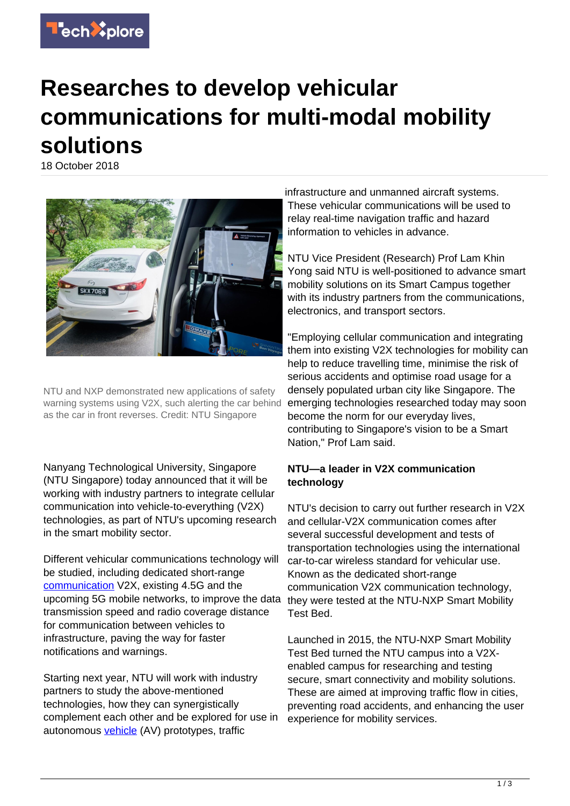

## **Researches to develop vehicular communications for multi-modal mobility solutions**

18 October 2018



NTU and NXP demonstrated new applications of safety warning systems using V2X, such alerting the car behind as the car in front reverses. Credit: NTU Singapore

Nanyang Technological University, Singapore (NTU Singapore) today announced that it will be working with industry partners to integrate cellular communication into vehicle-to-everything (V2X) technologies, as part of NTU's upcoming research in the smart mobility sector.

Different vehicular communications technology will be studied, including dedicated short-range [communication](https://techxplore.com/tags/communication/) V2X, existing 4.5G and the upcoming 5G mobile networks, to improve the data transmission speed and radio coverage distance for communication between vehicles to infrastructure, paving the way for faster notifications and warnings.

Starting next year, NTU will work with industry partners to study the above-mentioned technologies, how they can synergistically complement each other and be explored for use in autonomous [vehicle](https://techxplore.com/tags/vehicle/) (AV) prototypes, traffic

infrastructure and unmanned aircraft systems. These vehicular communications will be used to relay real-time navigation traffic and hazard information to vehicles in advance.

NTU Vice President (Research) Prof Lam Khin Yong said NTU is well-positioned to advance smart mobility solutions on its Smart Campus together with its industry partners from the communications, electronics, and transport sectors.

"Employing cellular communication and integrating them into existing V2X technologies for mobility can help to reduce travelling time, minimise the risk of serious accidents and optimise road usage for a densely populated urban city like Singapore. The emerging technologies researched today may soon become the norm for our everyday lives, contributing to Singapore's vision to be a Smart Nation," Prof Lam said.

## **NTU—a leader in V2X communication technology**

NTU's decision to carry out further research in V2X and cellular-V2X communication comes after several successful development and tests of transportation technologies using the international car-to-car wireless standard for vehicular use. Known as the dedicated short-range communication V2X communication technology, they were tested at the NTU-NXP Smart Mobility Test Bed.

Launched in 2015, the NTU-NXP Smart Mobility Test Bed turned the NTU campus into a V2Xenabled campus for researching and testing secure, smart connectivity and mobility solutions. These are aimed at improving traffic flow in cities, preventing road accidents, and enhancing the user experience for mobility services.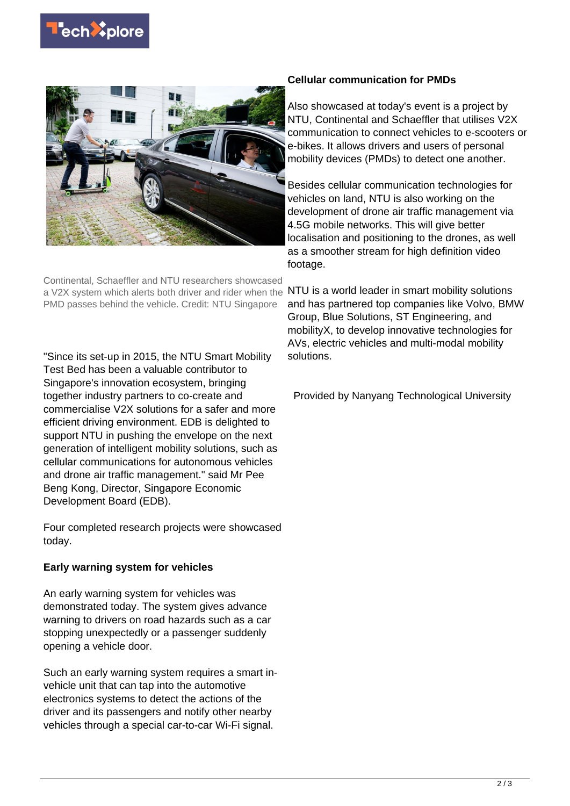



Continental, Schaeffler and NTU researchers showcased a V2X system which alerts both driver and rider when the PMD passes behind the vehicle. Credit: NTU Singapore

"Since its set-up in 2015, the NTU Smart Mobility Test Bed has been a valuable contributor to Singapore's innovation ecosystem, bringing together industry partners to co-create and commercialise V2X solutions for a safer and more efficient driving environment. EDB is delighted to support NTU in pushing the envelope on the next generation of intelligent mobility solutions, such as cellular communications for autonomous vehicles and drone air traffic management." said Mr Pee Beng Kong, Director, Singapore Economic Development Board (EDB).

Four completed research projects were showcased today.

## **Early warning system for vehicles**

An early warning system for vehicles was demonstrated today. The system gives advance warning to drivers on road hazards such as a car stopping unexpectedly or a passenger suddenly opening a vehicle door.

Such an early warning system requires a smart invehicle unit that can tap into the automotive electronics systems to detect the actions of the driver and its passengers and notify other nearby vehicles through a special car-to-car Wi-Fi signal.

## **Cellular communication for PMDs**

Also showcased at today's event is a project by NTU, Continental and Schaeffler that utilises V2X communication to connect vehicles to e-scooters or e-bikes. It allows drivers and users of personal mobility devices (PMDs) to detect one another.

Besides cellular communication technologies for vehicles on land, NTU is also working on the development of drone air traffic management via 4.5G mobile networks. This will give better localisation and positioning to the drones, as well as a smoother stream for high definition video footage.

NTU is a world leader in smart mobility solutions and has partnered top companies like Volvo, BMW Group, Blue Solutions, ST Engineering, and mobilityX, to develop innovative technologies for AVs, electric vehicles and multi-modal mobility solutions.

Provided by Nanyang Technological University